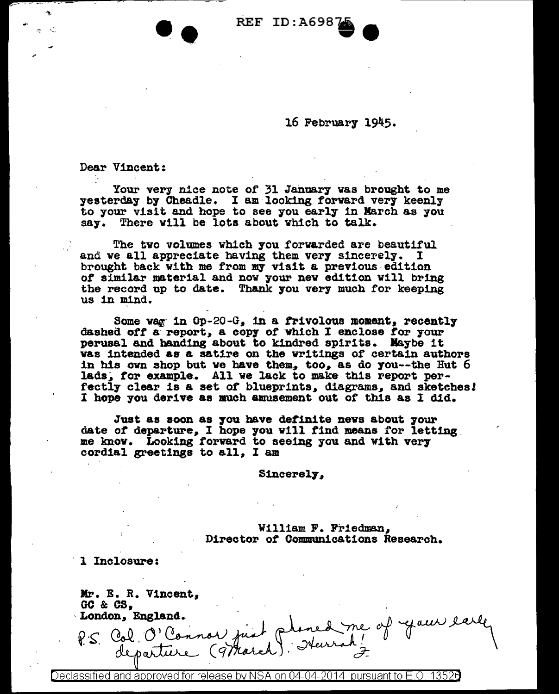**REF ID:A698** 

16 February 1945.

Dear Vincent:

Your very nice note of 31 January was brought to me<br>yesterday by Cheadle. I am looking forward very keenly to your visit and hope to see you early in March as you say. There will be lots about which to talk.

The two volumes which you forwarded are beautiful and we all appreciate having them very sincerely.  $\mathbf I$ brought back with me from my visit a previous edition of similar material and now your new edition will bring the record up to date. Thank you very much for keeping us in mind.

Some wag in Op-20-G, in a frivolous moment, recently dashed off a report, a copy of which I enclose for your perusal and handing about to kindred spirits. Maybe it was intended as a satire on the writings of certain authors in his own shop but we have them, too, as do you--the Hut 6 lads, for example. All we lack to make this report perfectly clear is a set of blueprints, diagrams, and sketches! I hope you derive as much amusement out of this as I did.

Just as soon as you have definite news about your date of departure, I hope you will find means for letting me know. Looking forward to seeing you and with very cordial greetings to all, I am

**Sincerely,** 

William F. Friedman, Director of Communications Research.

1 Inclosure:

Mr. E. R. Vincent. GC & CS. London, England. P.S. Col. O'Connor just planed me of your

<code>Declassified</code> and approved for release by NSA on 04-04-2014  $\,$  pursuant to E.O. 13526  $\,$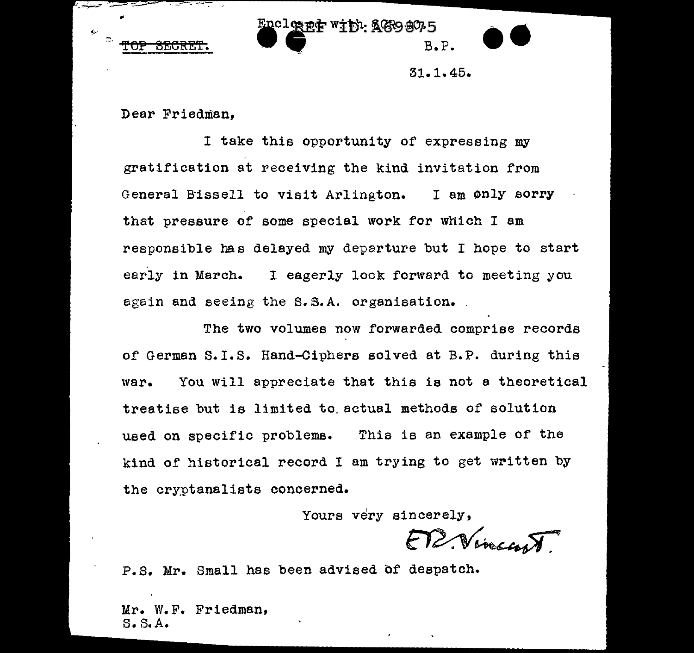



31.1.45.

••

Dear Friedman,

I take this opportunity of expressing my gratification at receiving the kind invitation from General Bissell to visit Arlington. I am only sorry that pressure of some special work for which I am responsible has delayed my departure but I hope to start early in March. I eagerly look forward to meeting you again and seeing the S.S.A. organisation.

The two volumes now forwarded comprise records of German s.1.s. Hand-Ciphers solved at B.P. during this war. You will appreciate that this is not a theoretical treatise but is limited to. actual methods of solution used on specific problems. Thia is an example of the kind of historical record I am trying to get written by the cryptanalists concerned.

Yours very sincerely,

FT2. Vivector FT2. Vivector FT2.

Mr. W.F. Friedman, S.S. A.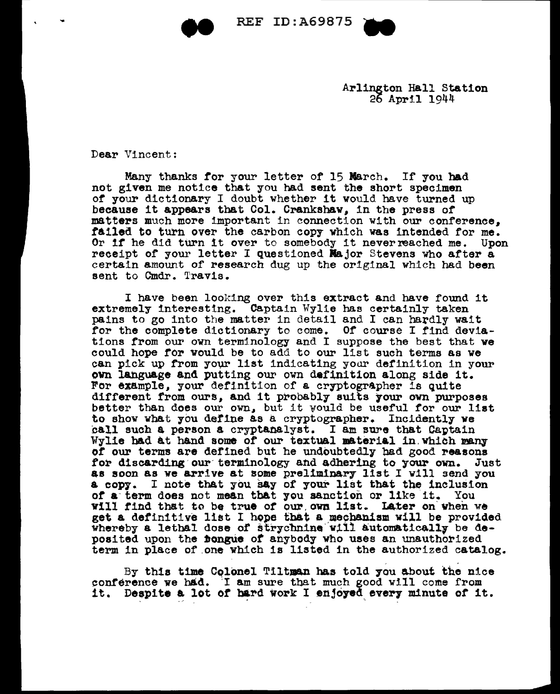REF ID: A69875



Arlington Hall Station<br>26 April 1944

 $\mathcal{L}^{\mathcal{L}}(\mathcal{L}^{\mathcal{L}})$  . The set of the set of the set of the set of the set of the set of the set of the set of the set of the set of the set of the set of the set of the set of the set of the set of the set of th

Dear Vincent:

Many thanks for your letter of 15 March. If you had not given me notice that you had sent the short specimen of your dictionary I doubt whether it would have turned up because it appears that Col. Crankshaw, in the press of matters much more important in connection with our conference, failed to turn over the carbon copy which was intended for me.<br>Or if he did turn it over to somebody it never reached me. Upon receipt of your letter I questioned Major Stevens who after a certain amount of research dug up the original which had been sent to Cmdr. Travis.

I have been looking over this extract and have found it extremely interesting. Captain Wylie bas certainly taken pains to go into the matter in detail and I can hardly wait for the complete dictionary to come. Of course I find deviations trom our ovn terminology and I suppose the best that we could hope tor vould be to add to our list such terms as ve can pick up from your list indicating your definition in your own language and putting our own definition along side it. For example, your definition of a cryptographer is quite different from ours, and it probably suits your own purposes better than does our own, but it would be useful for our list to show what you define as a cryptographer. Incidently we<br>call such a person a cryptanalyst. I am sure that Captain Wylie had at hand some of our textual material in. which many of our terms are defined but he undoubtedly had good reasons for discarding our terminology and adhering to your own. Just for discarding our terminology and adhering to your own. as soon as we arrive at some preliminary list I vill send you a copy. I note that you say of your list that the inclusion or a· term does not mean tb&t you sanction or like it. You Yill find that to be true *ot* our.ovn list. Later on-when v& get a definitive list I hope that a mechanism will be provided whereby a lethal dose of strychnine will automatically be deposited upon the **bongue** of anybody who uses an unauthorized term in place of .one which is listed in the authorized catalog.

By this time Colonel Tiltman has told you about the nice conference we had. I am sure that much good will come from it. Despite a lot of hard work I enjoyed every minute of it.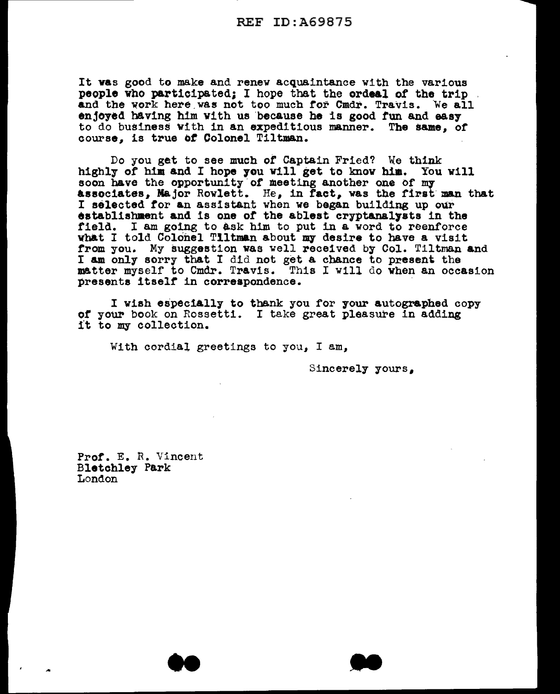It vas good to make and renew acquaintance with the various people who participated; I hope that the ordeal of the trip and the work here was not too much for Cmdr. Travis. We all enjoyed having him with us because he is good fun and easy to do business with in an expeditious manner. The same, or course. is true of Colonel Tiltman.

Do you get to see much of Captain Fried? We think highly of him and I hope you will get to know him. You will soon have the opportunity of meeting another one of my associates, Major Rowlett. He, in fact, was the first man that I selected for an assistant when we began building up our establishment and is one of the ablest cryptanalysts in the field. I am going to ask him to put in a word to reenforce vhat I told Colonel Tiltman about my desire to have a visit from you. My suggestion was well received by Col. Tiltman and I am only sorry that I did not get a chance to present the matter myself to Cmdr. Tr&vis. This I will do vhen an occasion presents itself in correspondence.

I wish especially to thank you for your autographed copy of your book on Rossetti. I take great pleasure in adding it to my collection.

With cordial greetings to you, I am,

Sincerely yours.

Pror. E. R. Vincent Bletchley Park London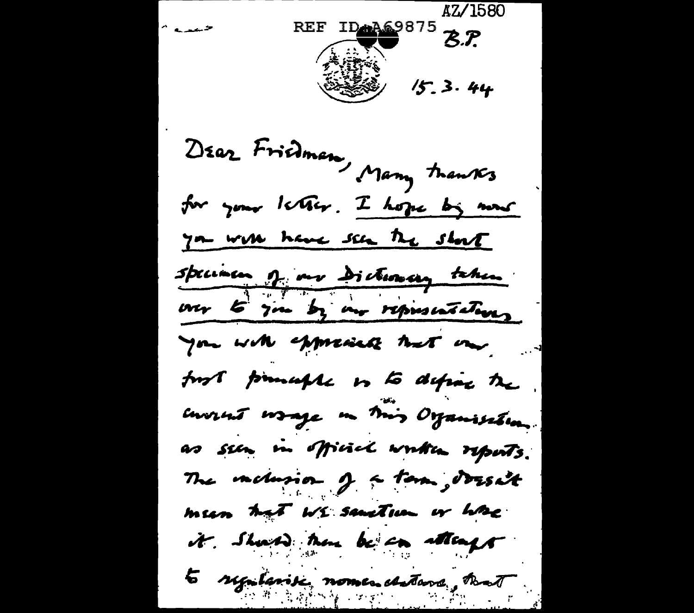AZ/1580 REF  $IP$ <sup>4469875</sup>  $Z$ . حميده ART 3.44 DEAR Fridman, Many tranks for your letter. I hope by now you will have seen the short speciacu q mr dictionary taken our to you by an representations you with expressed that one fort promaple is to define the envent wrage in this Organisation. as seen in official written reports. The vackerson of a term, dresa't meen hat We sanction or have it . Should there be an attempt to syntenic nomes deterse, that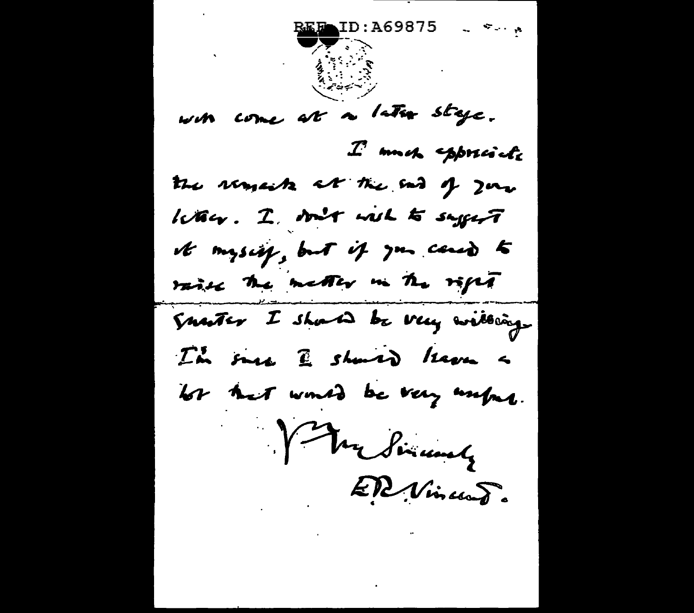ID:A69875 with come at a later stage.  $\mathcal{I}$  moh sppreich the remain at the end of your kan. I son't will to saysit it mysing, but if you cannot raise the metter in the right Snater I should be very willing. I'm sure I should know a los ket would be very unfur. Ver Simunely ER Vincent.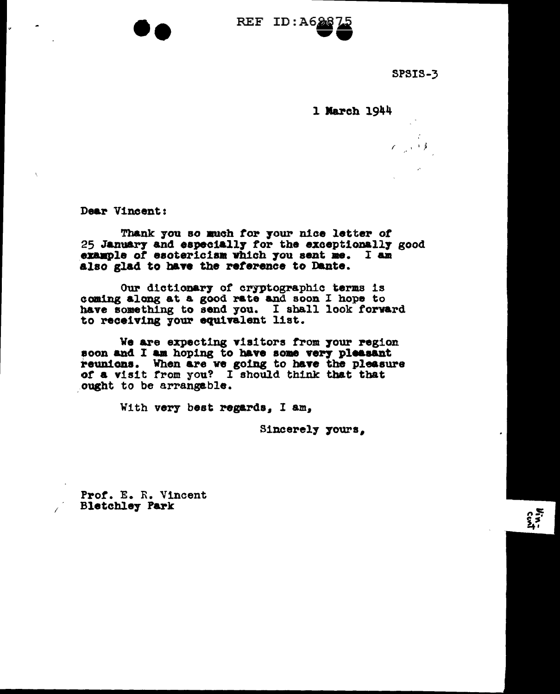

SPSIS-3

 $\mathcal{L} = \mathcal{L} \mathcal{L}$ 

1 March 1944

Dear Vincent:

le.

Thank you so much for your nice letter of 25 January and especially for the exceptionally good example of esotericism which you sent me. I am also glad to have the reference to Dante.

Our dictionary of cryptographic terms is coming along at a good rate and soon I hope to have something to send you. I shall look forward to receiving your equivalent list.

We are expecting visitors from your region soon and I am hoping to have some very pleasant reunions. When are we going to have the pleasure<br>of a visit from you? I should think that that ought to be arrangeble.

With very best regards, I am,

Sincerely yours.

Prof. E. R. Vincent **Bletchley Park**